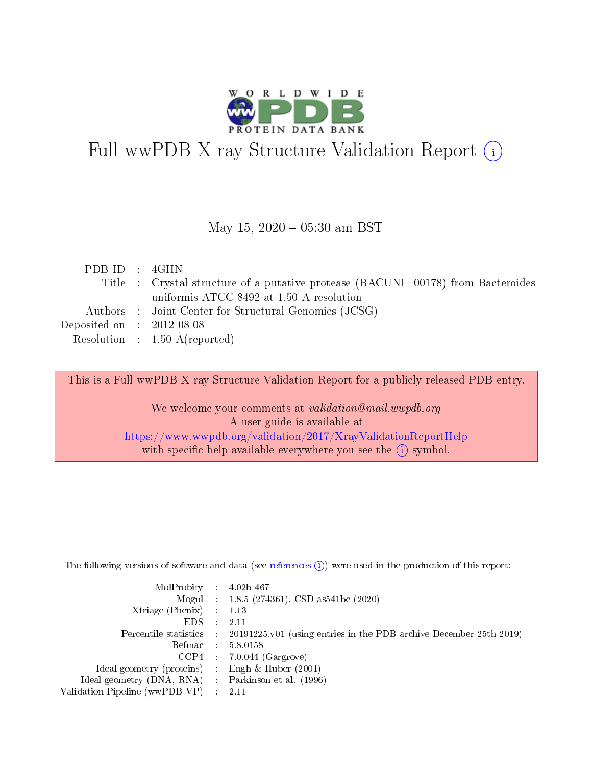

# Full wwPDB X-ray Structure Validation Report (i)

#### May 15,  $2020 - 05:30$  am BST

| PDB ID : 4GHN               |                                                                                  |
|-----------------------------|----------------------------------------------------------------------------------|
|                             | Title : Crystal structure of a putative protease (BACUNI 00178) from Bacteroides |
|                             | uniformis ATCC 8492 at 1.50 A resolution                                         |
|                             | Authors : Joint Center for Structural Genomics (JCSG)                            |
| Deposited on : $2012-08-08$ |                                                                                  |
|                             | Resolution : $1.50 \text{ Å}$ (reported)                                         |

This is a Full wwPDB X-ray Structure Validation Report for a publicly released PDB entry.

We welcome your comments at validation@mail.wwpdb.org A user guide is available at <https://www.wwpdb.org/validation/2017/XrayValidationReportHelp> with specific help available everywhere you see the  $(i)$  symbol.

The following versions of software and data (see [references](https://www.wwpdb.org/validation/2017/XrayValidationReportHelp#references)  $(1)$ ) were used in the production of this report:

| $MolProbability$ : 4.02b-467                      |                              |                                                                                            |
|---------------------------------------------------|------------------------------|--------------------------------------------------------------------------------------------|
|                                                   |                              | Mogul : $1.8.5$ (274361), CSD as 541be (2020)                                              |
| Xtriage (Phenix) $: 1.13$                         |                              |                                                                                            |
| EDS –                                             | $\sim$                       | -2.11                                                                                      |
|                                                   |                              | Percentile statistics : 20191225.v01 (using entries in the PDB archive December 25th 2019) |
| Refmac : 5.8.0158                                 |                              |                                                                                            |
| CCP4                                              |                              | $7.0.044$ (Gargrove)                                                                       |
| Ideal geometry (proteins)                         | $\mathcal{L}_{\mathrm{eff}}$ | Engh & Huber $(2001)$                                                                      |
| Ideal geometry (DNA, RNA) Parkinson et al. (1996) |                              |                                                                                            |
| Validation Pipeline (wwPDB-VP) : 2.11             |                              |                                                                                            |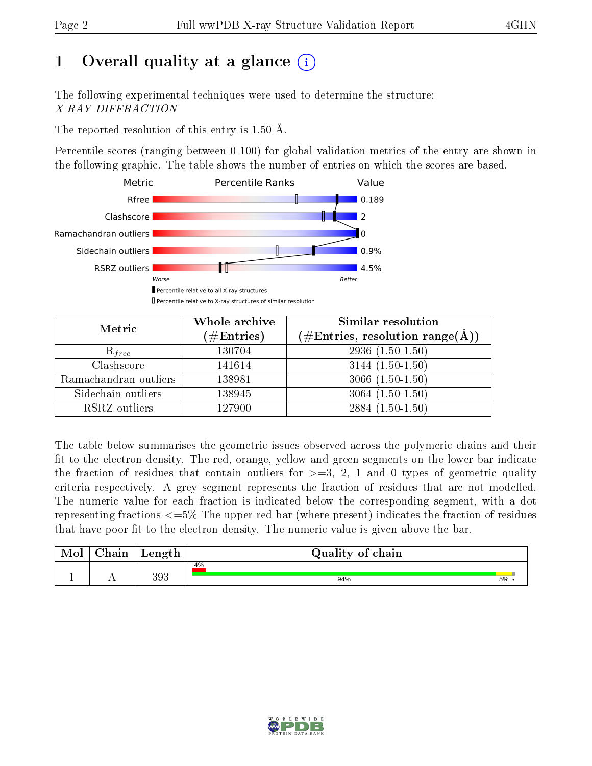# 1 [O](https://www.wwpdb.org/validation/2017/XrayValidationReportHelp#overall_quality)verall quality at a glance  $(i)$

The following experimental techniques were used to determine the structure: X-RAY DIFFRACTION

The reported resolution of this entry is 1.50 Å.

Percentile scores (ranging between 0-100) for global validation metrics of the entry are shown in the following graphic. The table shows the number of entries on which the scores are based.



| Metric                | Whole archive<br>$(\#\text{Entries})$ | Similar resolution<br>$(\#\text{Entries},\,\text{resolution}\,\,\text{range}(\textup{\AA}))$ |
|-----------------------|---------------------------------------|----------------------------------------------------------------------------------------------|
| $R_{free}$            | 130704                                | $2936(1.50-1.50)$                                                                            |
| Clashscore            | 141614                                | $3144(1.50-1.50)$                                                                            |
| Ramachandran outliers | 138981                                | $3066(1.50-1.50)$                                                                            |
| Sidechain outliers    | 138945                                | $3064(1.50-1.50)$                                                                            |
| RSRZ outliers         | 127900                                | $2884(1.50-1.50)$                                                                            |

The table below summarises the geometric issues observed across the polymeric chains and their fit to the electron density. The red, orange, yellow and green segments on the lower bar indicate the fraction of residues that contain outliers for  $>=3, 2, 1$  and 0 types of geometric quality criteria respectively. A grey segment represents the fraction of residues that are not modelled. The numeric value for each fraction is indicated below the corresponding segment, with a dot representing fractions  $\epsilon=5\%$  The upper red bar (where present) indicates the fraction of residues that have poor fit to the electron density. The numeric value is given above the bar.

| Mol | $\sim$ $\sim$<br>hain | Length | Quality of chain |    |
|-----|-----------------------|--------|------------------|----|
| л.  | . .                   | 393    | 4%<br>94%        | 5% |

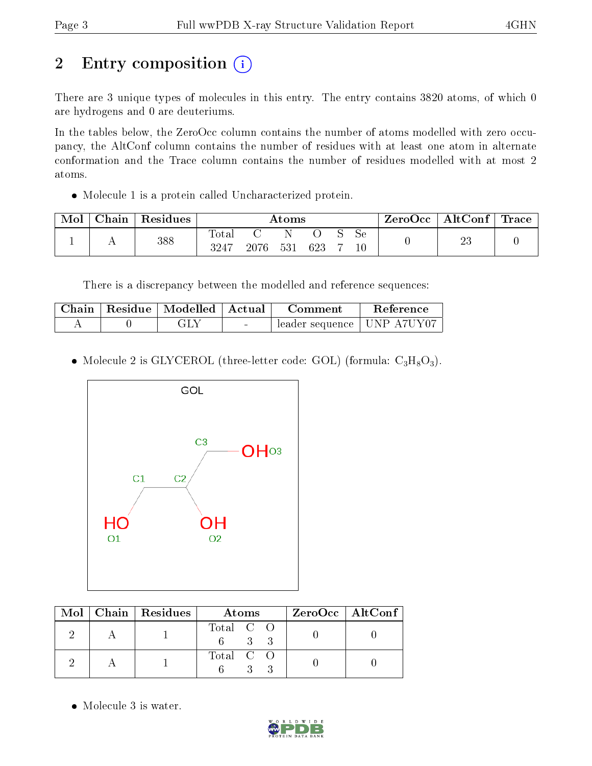# 2 Entry composition (i)

There are 3 unique types of molecules in this entry. The entry contains 3820 atoms, of which 0 are hydrogens and 0 are deuteriums.

In the tables below, the ZeroOcc column contains the number of atoms modelled with zero occupancy, the AltConf column contains the number of residues with at least one atom in alternate conformation and the Trace column contains the number of residues modelled with at most 2 atoms.

Molecule 1 is a protein called Uncharacterized protein.

| Mol | Chain | $\vert$ Residues $\vert$ | $\rm{Atoms}$        |          |  |     |  | ZeroOcc   AltConf   Trace |  |          |  |
|-----|-------|--------------------------|---------------------|----------|--|-----|--|---------------------------|--|----------|--|
|     |       | 388                      | $\rm Total$<br>3247 | 2076 531 |  | 623 |  | Sе                        |  | ດດ<br>∠∪ |  |

There is a discrepancy between the modelled and reference sequences:

|  | Chain   Residue   Modelled   Actual |        | Comment                                  | <b>Reference</b> |
|--|-------------------------------------|--------|------------------------------------------|------------------|
|  | re Lui                              | $\sim$ | $\pm$ leader sequence   UNP A7UY07 $\pm$ |                  |

• Molecule 2 is GLYCEROL (three-letter code: GOL) (formula:  $C_3H_8O_3$ ).



|  | $Mol$   Chain   Residues | Atoms     | $ZeroOcc \   \$ AltConf |
|--|--------------------------|-----------|-------------------------|
|  |                          | Total C O |                         |
|  |                          | Total C O |                         |

• Molecule 3 is water.

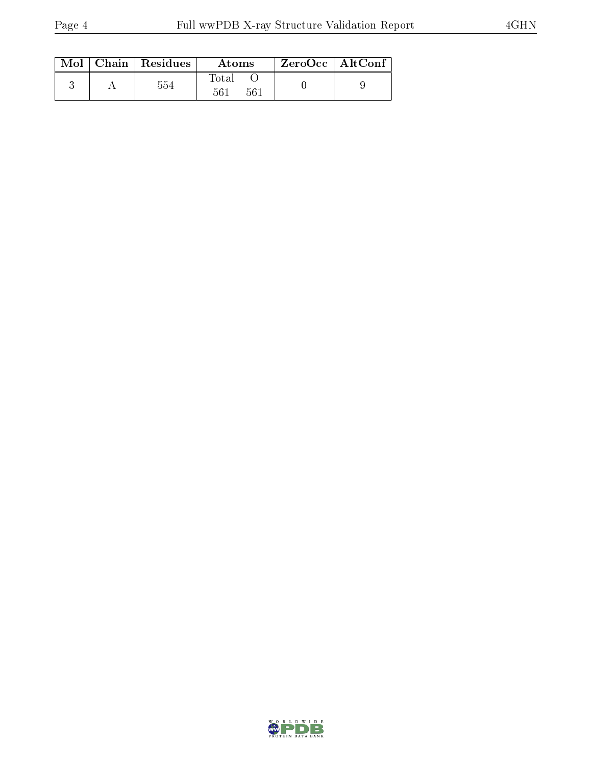|  | $\text{Mol}$   Chain   Residues | Atoms                | ZeroOcc   AltConf |  |
|--|---------------------------------|----------------------|-------------------|--|
|  | 554                             | Total<br>561<br>-561 |                   |  |

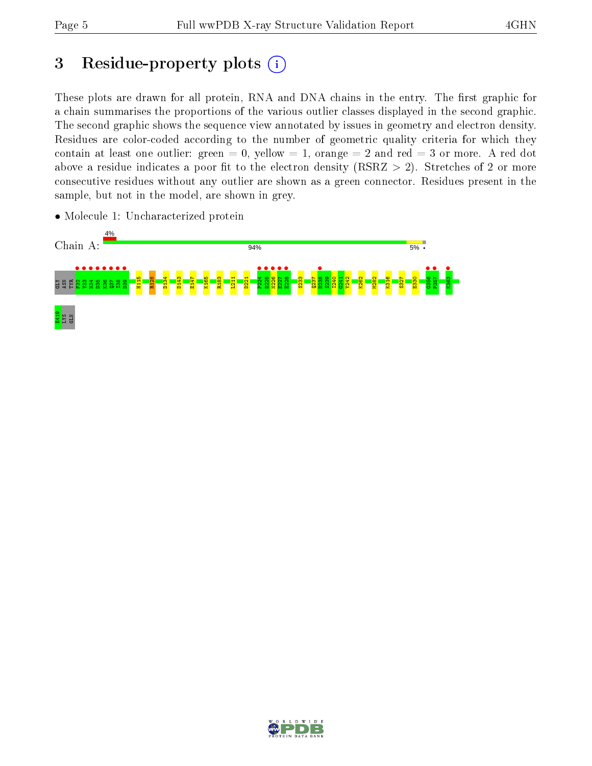# 3 Residue-property plots  $(i)$

These plots are drawn for all protein, RNA and DNA chains in the entry. The first graphic for a chain summarises the proportions of the various outlier classes displayed in the second graphic. The second graphic shows the sequence view annotated by issues in geometry and electron density. Residues are color-coded according to the number of geometric quality criteria for which they contain at least one outlier: green  $= 0$ , yellow  $= 1$ , orange  $= 2$  and red  $= 3$  or more. A red dot above a residue indicates a poor fit to the electron density (RSRZ  $> 2$ ). Stretches of 2 or more consecutive residues without any outlier are shown as a green connector. Residues present in the sample, but not in the model, are shown in grey.



• Molecule 1: Uncharacterized protein

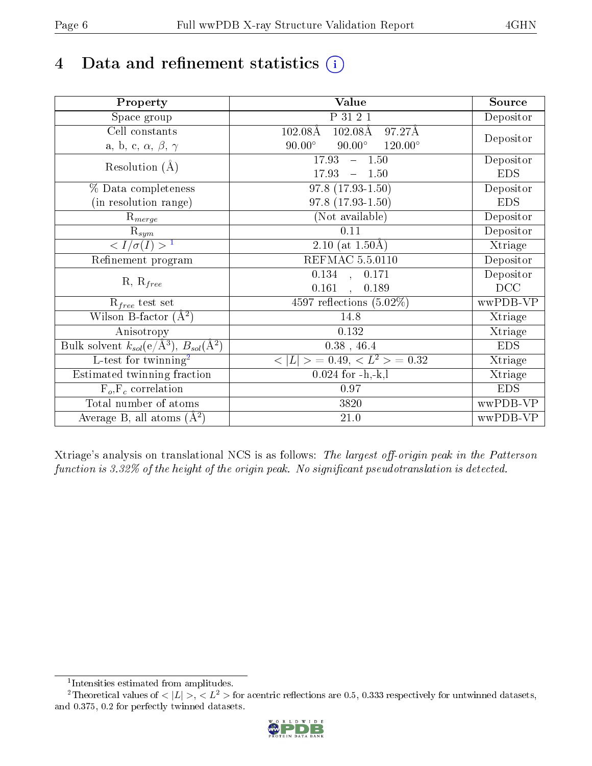# 4 Data and refinement statistics  $(i)$

| Property                                                             | Value                                              | Source     |
|----------------------------------------------------------------------|----------------------------------------------------|------------|
| Space group                                                          | P 31 2 1                                           | Depositor  |
| Cell constants                                                       | $102.08\text{\AA}$<br>97.27Å<br>$102.08\text{\AA}$ |            |
| a, b, c, $\alpha$ , $\beta$ , $\gamma$                               | $90.00^\circ$<br>$90.00^\circ$<br>$120.00^{\circ}$ | Depositor  |
| Resolution $(A)$                                                     | 17.93<br>$-1.50$                                   | Depositor  |
|                                                                      | 17.93<br>1.50<br>$\equiv$                          | <b>EDS</b> |
| % Data completeness                                                  | $97.8(17.93-1.50)$                                 | Depositor  |
| (in resolution range)                                                | $97.8(17.93-1.50)$                                 | <b>EDS</b> |
| $R_{merge}$                                                          | (Not available)                                    | Depositor  |
| $\mathrm{R}_{sym}$                                                   | 0.11                                               | Depositor  |
| $\langle I/\sigma(I) \rangle^{-1}$                                   | 2.10 (at $1.50\text{\AA}$ )                        | Xtriage    |
| Refinement program                                                   | <b>REFMAC 5.5.0110</b>                             | Depositor  |
|                                                                      | $\overline{0.134}$ ,<br>0.171                      | Depositor  |
| $R, R_{free}$                                                        | 0.161<br>0.189                                     | DCC        |
| $R_{free}$ test set                                                  | 4597 reflections $(5.02\%)$                        | wwPDB-VP   |
| Wilson B-factor $(A^2)$                                              | 14.8                                               | Xtriage    |
| Anisotropy                                                           | 0.132                                              | Xtriage    |
| Bulk solvent $k_{sol}(e/\mathring{A}^3)$ , $B_{sol}(\mathring{A}^2)$ | $0.38$ , 46.4                                      | <b>EDS</b> |
| L-test for twinning <sup>2</sup>                                     | $< L >$ = 0.49, $< L2$ = 0.32                      | Xtriage    |
| Estimated twinning fraction                                          | $0.024$ for $-h,-k,l$                              | Xtriage    |
| $F_o, F_c$ correlation                                               | 0.97                                               | <b>EDS</b> |
| Total number of atoms                                                | 3820                                               | wwPDB-VP   |
| Average B, all atoms $(A^2)$                                         | 21.0                                               | wwPDB-VP   |

Xtriage's analysis on translational NCS is as follows: The largest off-origin peak in the Patterson function is  $3.32\%$  of the height of the origin peak. No significant pseudotranslation is detected.

<sup>&</sup>lt;sup>2</sup>Theoretical values of  $\langle |L| \rangle$ ,  $\langle L^2 \rangle$  for acentric reflections are 0.5, 0.333 respectively for untwinned datasets, and 0.375, 0.2 for perfectly twinned datasets.



<span id="page-5-1"></span><span id="page-5-0"></span><sup>1</sup> Intensities estimated from amplitudes.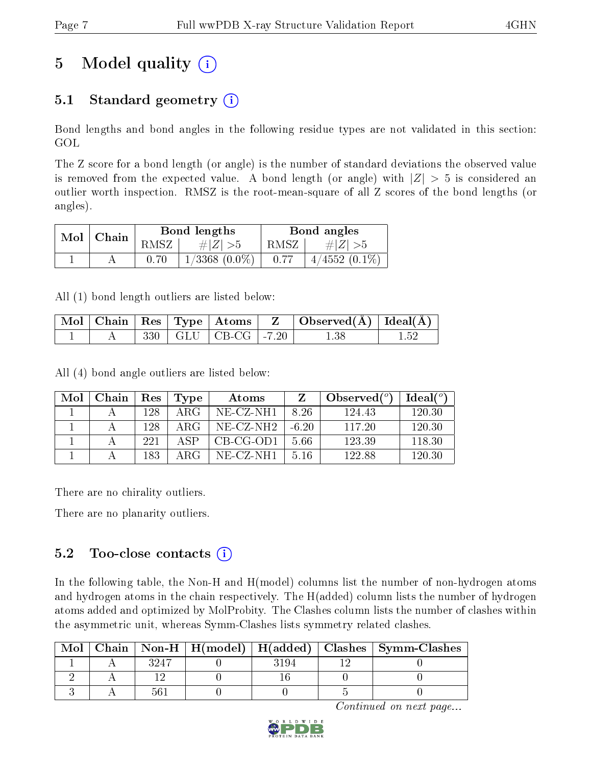# 5 Model quality  $(i)$

### 5.1 Standard geometry  $(i)$

Bond lengths and bond angles in the following residue types are not validated in this section: GOL

The Z score for a bond length (or angle) is the number of standard deviations the observed value is removed from the expected value. A bond length (or angle) with  $|Z| > 5$  is considered an outlier worth inspection. RMSZ is the root-mean-square of all Z scores of the bond lengths (or angles).

| Mol | $^{\dagger}$ Chain |      | Bond lengths       | Bond angles |                 |  |
|-----|--------------------|------|--------------------|-------------|-----------------|--|
|     |                    | RMSZ | # $ Z  > 5$        | RMSZ        | $\# Z  > 5$     |  |
|     |                    |      | $1/3368$ $(0.0\%)$ | 0.77        | $4/4552(0.1\%)$ |  |

All (1) bond length outliers are listed below:

|  |  |                                             | $\mid$ Mol $\mid$ Chain $\mid$ Res $\mid$ Type $\mid$ Atoms $\mid$ $\mid$ Z $\mid$ Observed(Å) $\mid$ Ideal(Å) $\mid$ |  |
|--|--|---------------------------------------------|-----------------------------------------------------------------------------------------------------------------------|--|
|  |  | $330 \mid GLU \mid CB\text{-}CG \mid -7.20$ |                                                                                                                       |  |

All (4) bond angle outliers are listed below:

| Mol | Chain | Res | Type | Atoms                 |         | Observed $\binom{o}{c}$ | $\text{Ideal}({}^o)$ |
|-----|-------|-----|------|-----------------------|---------|-------------------------|----------------------|
|     |       | 128 | ARG  | NE-CZ-NH1             | 8 26    | 124.43                  | 120.30               |
|     |       | 128 | ARG  | NE-CZ-NH <sub>2</sub> | $-6.20$ | 117 20                  | 120.30               |
|     |       | 221 | A SP | CB-CG-OD1             | 5.66    | 123.39                  | 118.30               |
|     |       | 183 | ARG  | NE-CZ-NH1             | 516     | 122.88                  | 120.30               |

There are no chirality outliers.

There are no planarity outliers.

### 5.2 Too-close contacts  $(i)$

In the following table, the Non-H and H(model) columns list the number of non-hydrogen atoms and hydrogen atoms in the chain respectively. The H(added) column lists the number of hydrogen atoms added and optimized by MolProbity. The Clashes column lists the number of clashes within the asymmetric unit, whereas Symm-Clashes lists symmetry related clashes.

| Mol |      |     | Chain   Non-H   H(model)   H(added)   Clashes   Symm-Clashes |
|-----|------|-----|--------------------------------------------------------------|
|     | 3947 | 194 |                                                              |
|     |      |     |                                                              |
|     |      |     |                                                              |

Continued on next page...

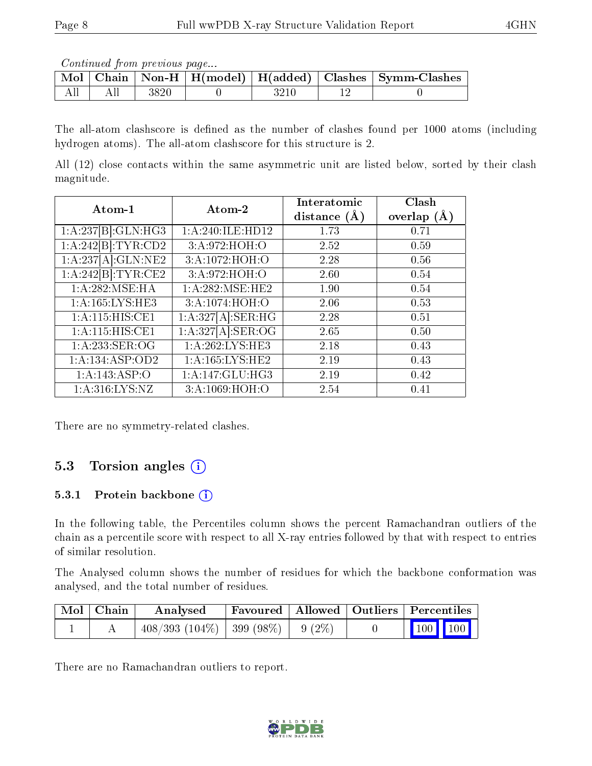Continued from previous page...

|  |          |  | Mol   Chain   Non-H   H(model)   H(added)   Clashes   Symm-Clashes |
|--|----------|--|--------------------------------------------------------------------|
|  | $3820\,$ |  |                                                                    |

The all-atom clashscore is defined as the number of clashes found per 1000 atoms (including hydrogen atoms). The all-atom clashscore for this structure is 2.

All (12) close contacts within the same asymmetric unit are listed below, sorted by their clash magnitude.

| Atom-1              | Atom-2                                                   | Interatomic<br>distance $(A)$ | Clash<br>overlap $(A)$ |
|---------------------|----------------------------------------------------------|-------------------------------|------------------------|
| 1:A:237[B]:GLN:HG3  | 1:A:240:ILE:HD12                                         | 1.73                          | 0.71                   |
| 1:A:242[B]:TYR:CD2  | 3:A:972:HOH:O                                            | 2.52                          | 0.59                   |
| 1:A:237[A]:GLN:NE2  | 3:A:1072:HOH:O                                           | 2.28                          | 0.56                   |
| 1:A:242[B]:TYR:CE2  | 3:A:972:HOH:O                                            | 2.60                          | 0.54                   |
| 1:A:282:MSE:HA      | 1: A:282:MSE:HE2                                         | 1.90                          | 0.54                   |
| 1: A: 165: LYS: HE3 | 3:A:1074:HOH:O                                           | 2.06                          | 0.53                   |
| 1: A:115: HIS: CE1  | 1:A:327[A]:SER:HG                                        | 2.28                          | 0.51                   |
| 1:A:115:HIS:CE1     | $1:A:327[A]:\overline{\text{SER}}: \overline{\text{OG}}$ | 2.65                          | 0.50                   |
| 1:A:233:SER:OG      | 1: A:262:LYS:HE3                                         | 2.18                          | 0.43                   |
| 1: A: 134: ASP: OD2 | 1: A: 165: LYS: HE2                                      | 2.19                          | 0.43                   |
| 1:A:143:ASP:O       | 1:A:147:GLU:HG3                                          | 2.19                          | 0.42                   |
| 1: A:316: LYS: NZ   | 3:A:1069:HOH:O                                           | 2.54                          | 0.41                   |

There are no symmetry-related clashes.

## 5.3 Torsion angles (i)

#### 5.3.1 Protein backbone (i)

In the following table, the Percentiles column shows the percent Ramachandran outliers of the chain as a percentile score with respect to all X-ray entries followed by that with respect to entries of similar resolution.

The Analysed column shows the number of residues for which the backbone conformation was analysed, and the total number of residues.

| Mol   Chain | Analysed                                       | Favoured Allowed Outliers Percentiles |  |                         |  |
|-------------|------------------------------------------------|---------------------------------------|--|-------------------------|--|
|             | $408/393$ $(104\%)$   399 $(98\%)$   9 $(2\%)$ |                                       |  | $\vert$ 100 100 $\vert$ |  |

There are no Ramachandran outliers to report.

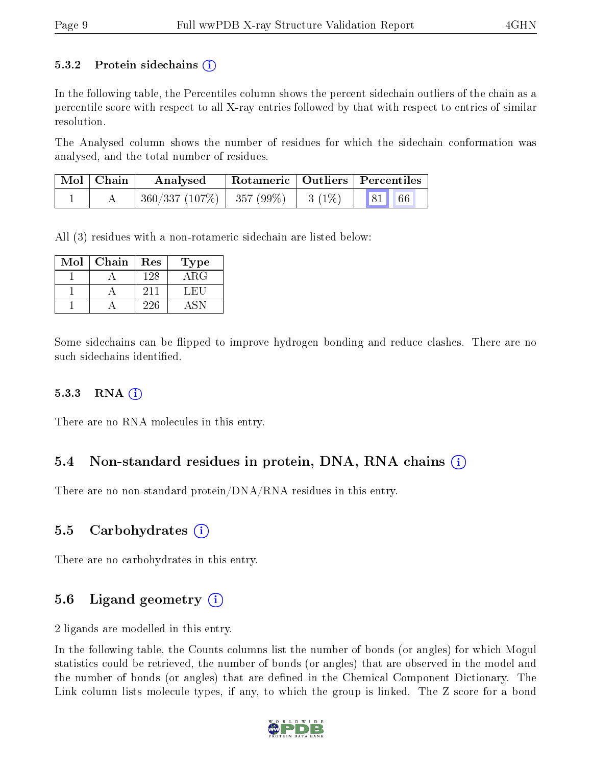#### 5.3.2 Protein sidechains  $(i)$

In the following table, the Percentiles column shows the percent sidechain outliers of the chain as a percentile score with respect to all X-ray entries followed by that with respect to entries of similar resolution.

The Analysed column shows the number of residues for which the sidechain conformation was analysed, and the total number of residues.

| $\text{Mol}$   Chain | Analysed                                 | $^\shortparallel$ Rotameric   Outliers   Percentiles |                     |  |
|----------------------|------------------------------------------|------------------------------------------------------|---------------------|--|
|                      | $360/337 (107\%)$   357 (99\%)   3 (1\%) |                                                      | $\vert 81 \vert$ 66 |  |

All (3) residues with a non-rotameric sidechain are listed below:

| Mol | Chain | Res | Type       |
|-----|-------|-----|------------|
|     |       | 128 | $\rm{ARG}$ |
|     |       | 211 | f.H.1      |
|     |       | 226 |            |

Some sidechains can be flipped to improve hydrogen bonding and reduce clashes. There are no such sidechains identified.

#### 5.3.3 RNA [O](https://www.wwpdb.org/validation/2017/XrayValidationReportHelp#rna)i

There are no RNA molecules in this entry.

### 5.4 Non-standard residues in protein, DNA, RNA chains (i)

There are no non-standard protein/DNA/RNA residues in this entry.

### 5.5 Carbohydrates (i)

There are no carbohydrates in this entry.

### 5.6 Ligand geometry (i)

2 ligands are modelled in this entry.

In the following table, the Counts columns list the number of bonds (or angles) for which Mogul statistics could be retrieved, the number of bonds (or angles) that are observed in the model and the number of bonds (or angles) that are dened in the Chemical Component Dictionary. The Link column lists molecule types, if any, to which the group is linked. The Z score for a bond

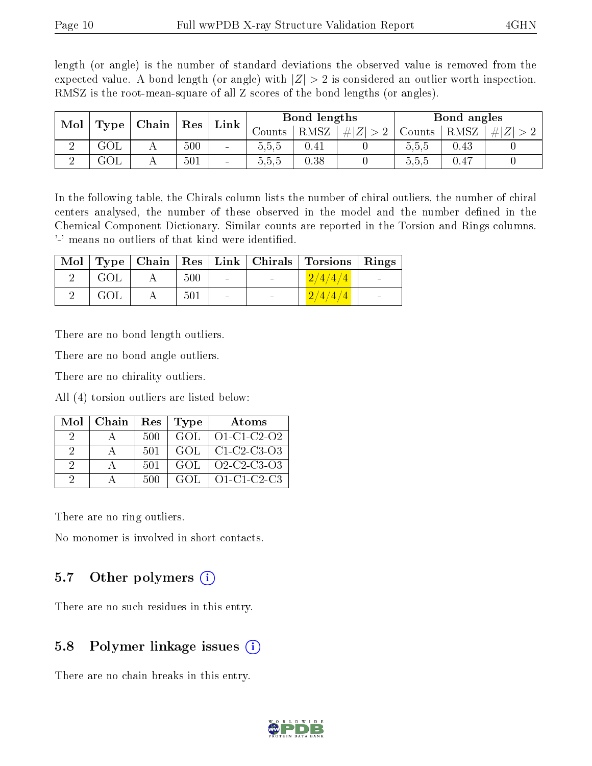length (or angle) is the number of standard deviations the observed value is removed from the expected value. A bond length (or angle) with  $|Z| > 2$  is considered an outlier worth inspection. RMSZ is the root-mean-square of all Z scores of the bond lengths (or angles).

| Mol |      | Chain | Res | $^{\circ}$ Link | Bond lengths |          |     | Bond angles |            |        |
|-----|------|-------|-----|-----------------|--------------|----------|-----|-------------|------------|--------|
|     | Type |       |     |                 | Counts-      | RMSZ     | # Z | Counts      | RMSZ       | #<br>Z |
|     | GOL  | 4 L   | 500 | $\blacksquare$  | 5,5,5        | $0.41\,$ |     | 5.5.5       | $\rm 0.43$ |        |
|     | JUL  |       | 501 | $\blacksquare$  | 5.5.5        | 0.38     |     | 5.5.5       | $0.47\,$   |        |

In the following table, the Chirals column lists the number of chiral outliers, the number of chiral centers analysed, the number of these observed in the model and the number defined in the Chemical Component Dictionary. Similar counts are reported in the Torsion and Rings columns. '-' means no outliers of that kind were identified.

|     |     |            |        | Mol   Type   Chain   Res   Link   Chirals   Torsions   Rings |                          |
|-----|-----|------------|--------|--------------------------------------------------------------|--------------------------|
| GOL | 500 | $\sim 100$ | $\sim$ | $\left( \frac{2}{4}/\frac{4}{4} \right)$                     | <b>Contract Contract</b> |
| GOL | 501 | $\sim$     | $\sim$ | 2/4/4/4                                                      | $\blacksquare$           |

There are no bond length outliers.

There are no bond angle outliers.

There are no chirality outliers.

All (4) torsion outliers are listed below:

|   | $Mol$   Chain | $Res \mid$ | Type | Atoms         |
|---|---------------|------------|------|---------------|
|   |               | 500        | GOL  | O1-C1-C2-O2   |
| 2 |               | 501        | GOL. | $C1-C2-C3-O3$ |
| 2 |               | 501        | GOL  | Q2-C2-C3-Q3   |
| 9 |               | 500        | GOL. | $O1-C1-C2-C3$ |

There are no ring outliers.

No monomer is involved in short contacts.

#### 5.7 [O](https://www.wwpdb.org/validation/2017/XrayValidationReportHelp#nonstandard_residues_and_ligands)ther polymers  $(i)$

There are no such residues in this entry.

### 5.8 Polymer linkage issues  $(i)$

There are no chain breaks in this entry.

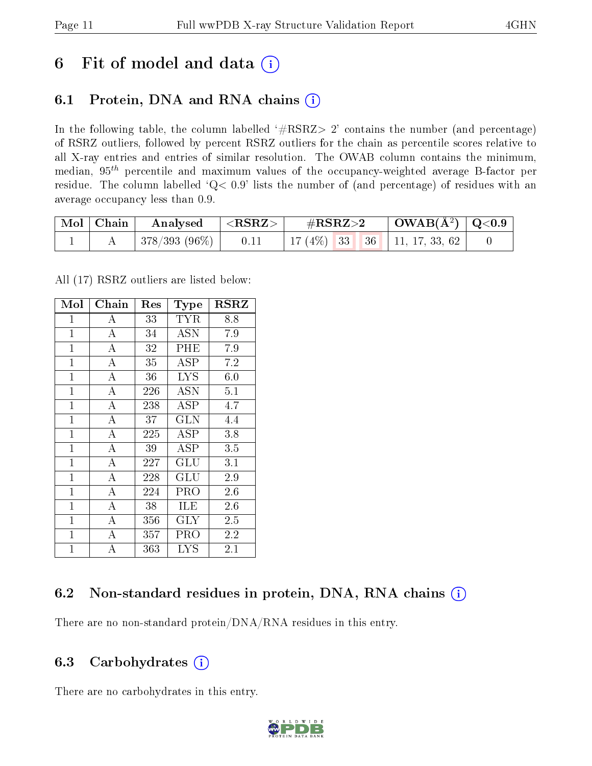## 6 Fit of model and data  $(i)$

### 6.1 Protein, DNA and RNA chains  $(i)$

In the following table, the column labelled  $#RSRZ> 2'$  contains the number (and percentage) of RSRZ outliers, followed by percent RSRZ outliers for the chain as percentile scores relative to all X-ray entries and entries of similar resolution. The OWAB column contains the minimum, median,  $95<sup>th</sup>$  percentile and maximum values of the occupancy-weighted average B-factor per residue. The column labelled ' $Q< 0.9$ ' lists the number of (and percentage) of residues with an average occupancy less than 0.9.

| Mol   Chain | Analysed $ \langle \text{RSRZ} \rangle $ |      | $\rm \#RSRZ{>}2$                    | $\vert$ OWAB(Å <sup>2</sup> ) $\vert$ Q<0.9 |  |
|-------------|------------------------------------------|------|-------------------------------------|---------------------------------------------|--|
|             | 378/393 (96%)                            | 0.11 | 17 (4\%)   33   36   11, 17, 33, 62 |                                             |  |

All (17) RSRZ outliers are listed below:

| Mol          | Chain              | $\operatorname{Res}% \left( \mathcal{N}\right) \equiv\operatorname{Res}(\mathcal{N}_{0},\mathcal{N}_{0})$ | Type                 | <b>RSRZ</b> |
|--------------|--------------------|-----------------------------------------------------------------------------------------------------------|----------------------|-------------|
| $\mathbf{1}$ | Α                  | 33                                                                                                        | TYR                  | 8.8         |
| $\mathbf{1}$ | $\bf{A}$           | 34                                                                                                        | <b>ASN</b>           | $7.9\,$     |
| $\mathbf{1}$ | $\overline{\rm A}$ | 32                                                                                                        | PHE                  | 7.9         |
| $\mathbf{1}$ | A                  | 35                                                                                                        | ASP                  | 7.2         |
| $\mathbf{1}$ | А                  | 36                                                                                                        | <b>LYS</b>           | 6.0         |
| $\mathbf{1}$ | $\overline{A}$     | 226                                                                                                       | ASN                  | 5.1         |
| $\mathbf{1}$ | $\overline{A}$     | 238                                                                                                       | ASP                  | 4.7         |
| $\mathbf{1}$ | $\overline{\rm A}$ | 37                                                                                                        | GLN                  | 4.4         |
| $\mathbf{1}$ | $\overline{A}$     | 225                                                                                                       | ASP                  | 3.8         |
| $\mathbf{1}$ | $\overline{\rm A}$ | 39                                                                                                        | ASP                  | 3.5         |
| $\mathbf{1}$ | $\overline{A}$     | 227                                                                                                       | GLU                  | 3.1         |
| $\mathbf{1}$ | $\overline{A}$     | 228                                                                                                       | $\operatorname{GLU}$ | 2.9         |
| $\mathbf{1}$ | $\overline{A}$     | 224                                                                                                       | PRO                  | 2.6         |
| $\mathbf{1}$ | $\bf{A}$           | 38                                                                                                        | ILE                  | 2.6         |
| $\mathbf{1}$ | $\overline{\rm A}$ | 356                                                                                                       | $\rm GLY$            | 2.5         |
| $\mathbf{1}$ | $\bf{A}$           | 357                                                                                                       | PRO                  | 2.2         |
| $\mathbf{1}$ | $\overline{\rm A}$ | 363                                                                                                       | LYS                  | $2.1\,$     |

### 6.2 Non-standard residues in protein, DNA, RNA chains (i)

There are no non-standard protein/DNA/RNA residues in this entry.

### 6.3 Carbohydrates  $(i)$

There are no carbohydrates in this entry.